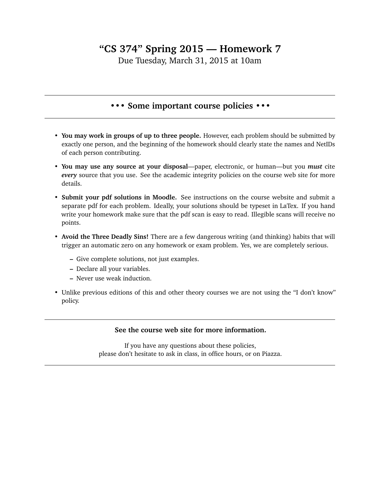## **"CS 374" Spring 2015 — Homework 7**

Due Tuesday, March 31, 2015 at 10am

## **••• Some important course policies •••**

- **You may work in groups of up to three people.** However, each problem should be submitted by exactly one person, and the beginning of the homework should clearly state the names and NetIDs of each person contributing.
- **You may use any source at your disposal**—paper, electronic, or human—but you *must* cite *every* source that you use. See the academic integrity policies on the course web site for more details.
- **Submit your pdf solutions in Moodle.** See instructions on the course website and submit a separate pdf for each problem. Ideally, your solutions should be typeset in LaTex. If you hand write your homework make sure that the pdf scan is easy to read. Illegible scans will receive no points.
- **Avoid the Three Deadly Sins!** There are a few dangerous writing (and thinking) habits that will trigger an automatic zero on any homework or exam problem. Yes, we are completely serious.
	- **–** Give complete solutions, not just examples.
	- **–** Declare all your variables.
	- **–** Never use weak induction.
- Unlike previous editions of this and other theory courses we are not using the "I don't know" policy.

## **See the course web site for more information.**

If you have any questions about these policies, please don't hesitate to ask in class, in office hours, or on Piazza.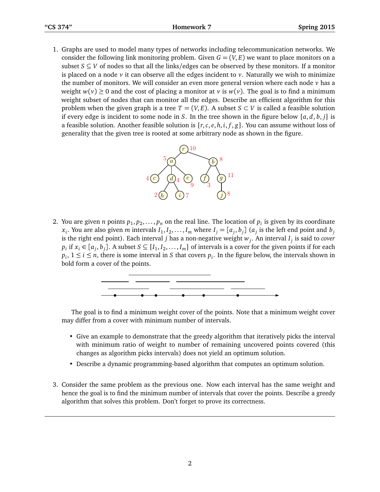1. Graphs are used to model many types of networks including telecommunication networks. We consider the following link monitoring problem. Given  $G = (V, E)$  we want to place monitors on a subset  $S \subseteq V$  of nodes so that all the links/edges can be observed by these monitors. If a monitor is placed on a node  $\nu$  it can observe all the edges incident to  $\nu$ . Naturally we wish to minimize the number of monitors. We will consider an even more general version where each node *v* has a weight  $w(v) \ge 0$  and the cost of placing a monitor at *v* is  $w(v)$ . The goal is to find a minimum weight subset of nodes that can monitor all the edges. Describe an efficient algorithm for this problem when the given graph is a tree  $T = (V, E)$ . A subset  $S \subset V$  is called a feasible solution if every edge is incident to some node in *S*. In the tree shown in the figure below  $\{a, d, b, j\}$  is a feasible solution. Another feasible solution is  $\{r, c, e, h, i, f, g\}$ . You can assume without loss of generality that the given tree is rooted at some arbitrary node as shown in the figure.



2. You are given *n* points  $p_1, p_2, \ldots, p_n$  on the real line. The location of  $p_i$  is given by its coordinate  $x_i$ . You are also given m intervals  $I_1, I_2, \ldots, I_m$  where  $I_j = [a_j, b_j]$  ( $a_j$  is the left end point and  $b_j$ is the right end point). Each interval *j* has a non-negative weight *w<sup>j</sup>* . An interval *I<sup>j</sup>* is said to *cover*  $p_i$  if  $x_i \in [a_j, b_j]$ . A subset  $S \subseteq \{I_1, I_2, \ldots, I_m\}$  of intervals is a cover for the given points if for each  $p_i$ ,  $1 \le i \le n$ , there is some interval in *S* that covers  $p_i$ . In the figure below, the intervals shown in bold form a cover of the points.



The goal is to find a minimum weight cover of the points. Note that a minimum weight cover may differ from a cover with minimum number of intervals.

- Give an example to demonstrate that the greedy algorithm that iteratively picks the interval with minimum ratio of weight to number of remaining uncovered points covered (this changes as algorithm picks intervals) does not yield an optimum solution.
- Describe a dynamic programming-based algorithm that computes an optimum solution.
- 3. Consider the same problem as the previous one. Now each interval has the same weight and hence the goal is to find the minimum number of intervals that cover the points. Describe a greedy algorithm that solves this problem. Don't forget to prove its correctness.